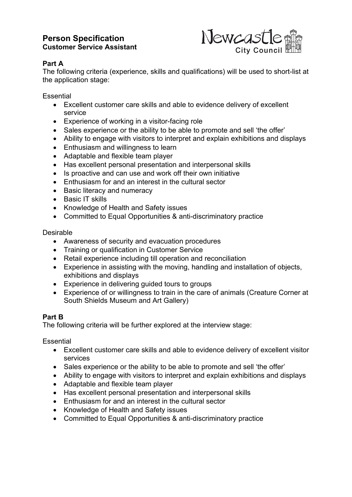## **Person Specification Customer Service Assistant**



### **Part A**

The following criteria (experience, skills and qualifications) will be used to short-list at the application stage:

**Essential** 

- Excellent customer care skills and able to evidence delivery of excellent service
- Experience of working in a visitor-facing role
- Sales experience or the ability to be able to promote and sell 'the offer'
- Ability to engage with visitors to interpret and explain exhibitions and displays
- Enthusiasm and willingness to learn
- Adaptable and flexible team player
- Has excellent personal presentation and interpersonal skills
- Is proactive and can use and work off their own initiative
- Enthusiasm for and an interest in the cultural sector
- Basic literacy and numeracy
- Basic IT skills
- Knowledge of Health and Safety issues
- Committed to Equal Opportunities & anti-discriminatory practice

#### Desirable

- Awareness of security and evacuation procedures
- Training or qualification in Customer Service
- Retail experience including till operation and reconciliation
- Experience in assisting with the moving, handling and installation of objects, exhibitions and displays
- Experience in delivering guided tours to groups
- Experience of or willingness to train in the care of animals (Creature Corner at South Shields Museum and Art Gallery)

#### **Part B**

The following criteria will be further explored at the interview stage:

**Essential** 

- Excellent customer care skills and able to evidence delivery of excellent visitor services
- Sales experience or the ability to be able to promote and sell 'the offer'
- Ability to engage with visitors to interpret and explain exhibitions and displays
- Adaptable and flexible team player
- Has excellent personal presentation and interpersonal skills
- Enthusiasm for and an interest in the cultural sector
- Knowledge of Health and Safety issues
- Committed to Equal Opportunities & anti-discriminatory practice